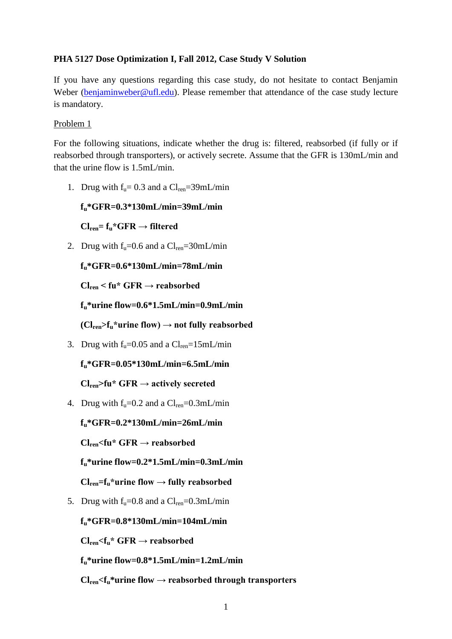#### **PHA 5127 Dose Optimization I, Fall 2012, Case Study V Solution**

If you have any questions regarding this case study, do not hesitate to contact Benjamin Weber [\(benjaminweber@ufl.edu\)](mailto:benjaminweber@ufl.edu). Please remember that attendance of the case study lecture is mandatory.

#### Problem 1

For the following situations, indicate whether the drug is: filtered, reabsorbed (if fully or if reabsorbed through transporters), or actively secrete. Assume that the GFR is 130mL/min and that the urine flow is 1.5mL/min.

1. Drug with  $f<sub>u</sub> = 0.3$  and a  $Cl<sub>ren</sub> = 39$ mL/min

**fu\*GFR=0.3\*130mL/min=39mL/min**

 $Cl_{ren} = f_u * GFR \rightarrow filtered$ 

2. Drug with  $f_u=0.6$  and a  $Cl_{ren}=30$ mL/min

```
fu*GFR=0.6*130mL/min=78mL/min
```
**Clren < fu\* GFR → reabsorbed**

**fu\*urine flow=0.6\*1.5mL/min=0.9mL/min**

 $(Cl_{ren} > f_u *$ urine flow)  $\rightarrow$  not fully reabsorbed

3. Drug with  $f<sub>u</sub>=0.05$  and a  $Cl<sub>ren</sub>=15mL/min$ 

```
fu*GFR=0.05*130mL/min=6.5mL/min
```
 $Cl_{ren}$ >fu\* GFR  $\rightarrow$  actively secreted

4. Drug with  $f_u=0.2$  and a  $Cl_{ren}=0.3$ mL/min

**fu\*GFR=0.2\*130mL/min=26mL/min**

**Clren<fu\* GFR → reabsorbed**

**fu\*urine flow=0.2\*1.5mL/min=0.3mL/min**

 $Cl_{ren} = f_u *$ urine flow  $\rightarrow$  fully reabsorbed

5. Drug with  $f_u=0.8$  and a  $Cl_{ren}=0.3$ mL/min

**fu\*GFR=0.8\*130mL/min=104mL/min**

 $Cl_{ren}$  $<$ **f**<sub>u</sub><sup>\*</sup> GFR  $\rightarrow$  reabsorbed

**fu\*urine flow=0.8\*1.5mL/min=1.2mL/min** 

 $Cl_{ren}$  $Cl_{ren}$ <sup>\*</sup>urine flow  $\rightarrow$  reabsorbed through transporters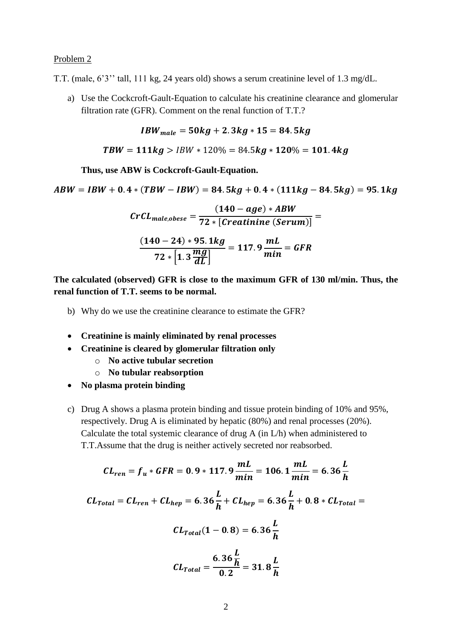#### Problem 2

T.T. (male, 6'3'' tall, 111 kg, 24 years old) shows a serum creatinine level of 1.3 mg/dL.

a) Use the Cockcroft-Gault-Equation to calculate his creatinine clearance and glomerular filtration rate (GFR). Comment on the renal function of T.T.?

*IBW*<sub>male</sub> = 
$$
50kg + 2.3kg * 15 = 84.5kg
$$

$$
TBW = 111kg > IBW * 120\% = 84.5kg * 120\% = 101.4kg
$$

**Thus, use ABW is Cockcroft-Gault-Equation.**

 $ABW = IBW + 0.4 * (TBW - IBW) = 84.5kg + 0.4 * (111kg - 84.5kg) = 95.1kg$ 

$$
CrCL_{male,obese} = \frac{(140 - age) * ABW}{72 * [Creatinine (Serum)]}
$$

$$
\frac{(140 - 24) * 95.1 kg}{72 * [1.3 \frac{mg}{dL}]} = 117.9 \frac{mL}{min} = GFR
$$

**The calculated (observed) GFR is close to the maximum GFR of 130 ml/min. Thus, the renal function of T.T. seems to be normal.**

- b) Why do we use the creatinine clearance to estimate the GFR?
- **Creatinine is mainly eliminated by renal processes**
- **Creatinine is cleared by glomerular filtration only**
	- o **No active tubular secretion**
	- o **No tubular reabsorption**
- **No plasma protein binding**
- c) Drug A shows a plasma protein binding and tissue protein binding of 10% and 95%, respectively. Drug A is eliminated by hepatic (80%) and renal processes (20%). Calculate the total systemic clearance of drug A (in L/h) when administered to T.T.Assume that the drug is neither actively secreted nor reabsorbed.

$$
CL_{ren} = f_u * GFR = 0.9 * 117.9 \frac{mL}{min} = 106.1 \frac{mL}{min} = 6.36 \frac{L}{h}
$$
  

$$
CL_{Total} = CL_{ren} + CL_{hep} = 6.36 \frac{L}{h} + CL_{hep} = 6.36 \frac{L}{h} + 0.8 * CL_{Total} =
$$
  

$$
CL_{Total}(1 - 0.8) = 6.36 \frac{L}{h}
$$
  

$$
CL_{Total} = \frac{6.36 \frac{L}{h}}{0.2} = 31.8 \frac{L}{h}
$$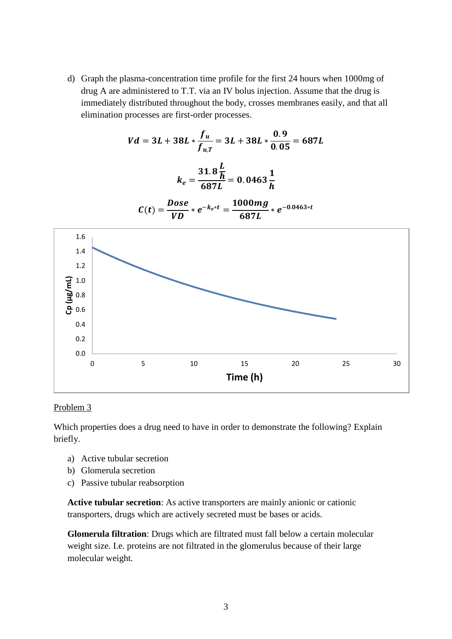d) Graph the plasma-concentration time profile for the first 24 hours when 1000mg of drug A are administered to T.T. via an IV bolus injection. Assume that the drug is immediately distributed throughout the body, crosses membranes easily, and that all elimination processes are first-order processes.

$$
Vd = 3L + 38L * \frac{f_u}{f_{u,T}} = 3L + 38L * \frac{0.9}{0.05} = 687L
$$
  

$$
k_e = \frac{31.8 \frac{L}{h}}{687L} = 0.0463 \frac{1}{h}
$$
  

$$
C(t) = \frac{Dose}{VD} * e^{-k_e * t} = \frac{1000mg}{687L} * e^{-0.0463 * t}
$$
  

$$
\frac{1.6}{2} = \frac{1.0}{2} = 0.08
$$
  

$$
\frac{3.12}{2} = \frac{1.0}{2} = 0.08
$$
  

$$
\frac{3.12}{2} = \frac{1.0}{2} = 0.08
$$
  

$$
\frac{1.2}{2} = \frac{1.0}{2} = 0.08
$$
  

$$
\frac{3.12}{2} = \frac{1.0}{2} = 0.0463 \frac{1}{h}
$$
  

$$
\frac{1.6}{2} = \frac{1.0}{2} = 0.0463 \frac{1}{h}
$$
  

$$
\frac{1.6}{2} = \frac{1.0}{2} = 0.0463 \frac{1}{h}
$$
  

$$
\frac{1.6}{2} = \frac{1.0}{2} = 0.0463 \frac{1}{h}
$$
  

$$
\frac{1.6}{2} = \frac{1.0}{2} = 0.0463 \frac{1}{h}
$$
  

$$
\frac{1.6}{2} = \frac{1.0}{2} = 0.0463 \frac{1}{h}
$$
  

$$
\frac{1.6}{2} = \frac{1.0}{2} = 0.0463 \frac{1}{h}
$$
  

$$
\frac{1.6}{2} = \frac{1.0}{2} = 0.0463 \frac{1}{h}
$$
  

$$
\frac{1.6}{2} = \frac{1.0}{2} = 0.0463 \frac{1}{h}
$$
  

$$
\frac{1.6}{2} = \frac{1.0}{2} = 0.0463 \frac{1}{h}
$$
  

$$
\frac{1.6}{2} = \frac{1.0}{2} = 0.0463 \frac{1}{h}
$$

#### Problem 3

Which properties does a drug need to have in order to demonstrate the following? Explain briefly.

- a) Active tubular secretion
- b) Glomerula secretion
- c) Passive tubular reabsorption

**Active tubular secretion**: As active transporters are mainly anionic or cationic transporters, drugs which are actively secreted must be bases or acids.

**Glomerula filtration**: Drugs which are filtrated must fall below a certain molecular weight size. I.e. proteins are not filtrated in the glomerulus because of their large molecular weight.